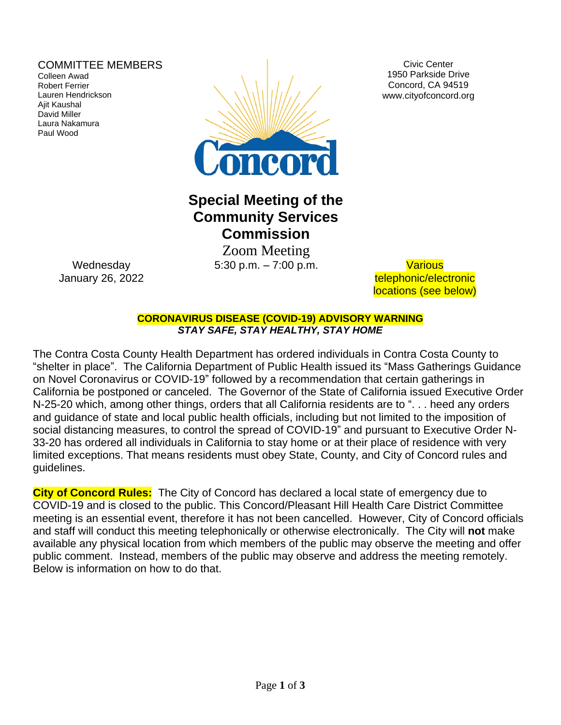### COMMITTEE MEMBERS

Colleen Awad Robert Ferrier Lauren Hendrickson Ajit Kaushal David Miller Laura Nakamura Paul Wood



Civic Center 1950 Parkside Drive Concord, CA 94519 www.cityofconcord.org

# **Special Meeting of the Community Services Commission**

 Zoom Meeting 5:30 p.m. – 7:00 p.m. Various

telephonic/electronic locations (see below)

**CORONAVIRUS DISEASE (COVID-19) ADVISORY WARNING** *STAY SAFE, STAY HEALTHY, STAY HOME*

The Contra Costa County Health Department has ordered individuals in Contra Costa County to "shelter in place". The California Department of Public Health issued its "Mass Gatherings Guidance on Novel Coronavirus or COVID-19" followed by a recommendation that certain gatherings in California be postponed or canceled. The Governor of the State of California issued Executive Order N-25-20 which, among other things, orders that all California residents are to ". . . heed any orders and guidance of state and local public health officials, including but not limited to the imposition of social distancing measures, to control the spread of COVID-19" and pursuant to Executive Order N-33-20 has ordered all individuals in California to stay home or at their place of residence with very limited exceptions. That means residents must obey State, County, and City of Concord rules and guidelines.

**City of Concord Rules:** The City of Concord has declared a local state of emergency due to COVID-19 and is closed to the public. This Concord/Pleasant Hill Health Care District Committee meeting is an essential event, therefore it has not been cancelled. However, City of Concord officials and staff will conduct this meeting telephonically or otherwise electronically. The City will **not** make available any physical location from which members of the public may observe the meeting and offer public comment. Instead, members of the public may observe and address the meeting remotely. Below is information on how to do that.

**Wednesday** January 26, 2022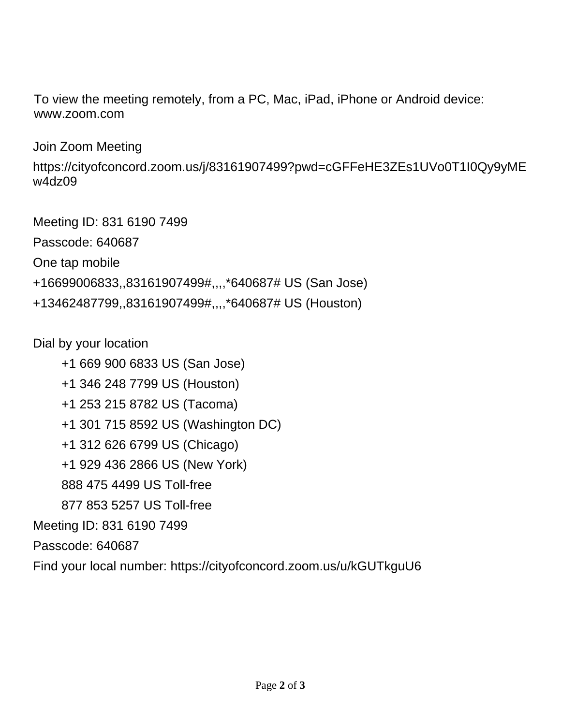To view the meeting remotely, from a PC, Mac, iPad, iPhone or Android device: www.zoom.com

Join Zoom Meeting

https://cityofconcord.zoom.us/j/83161907499?pwd=cGFFeHE3ZEs1UVo0T1I0Qy9yME w4dz09

Meeting ID: 831 6190 7499 Passcode: 640687 One tap mobile +16699006833,,83161907499#,,,,\*640687# US (San Jose) +13462487799,,83161907499#,,,,\*640687# US (Houston)

Dial by your location

 +1 669 900 6833 US (San Jose) +1 346 248 7799 US (Houston) +1 253 215 8782 US (Tacoma) +1 301 715 8592 US (Washington DC) +1 312 626 6799 US (Chicago) +1 929 436 2866 US (New York) 888 475 4499 US Toll-free 877 853 5257 US Toll-free Meeting ID: 831 6190 7499 Passcode: 640687 Find your local number: https://cityofconcord.zoom.us/u/kGUTkguU6